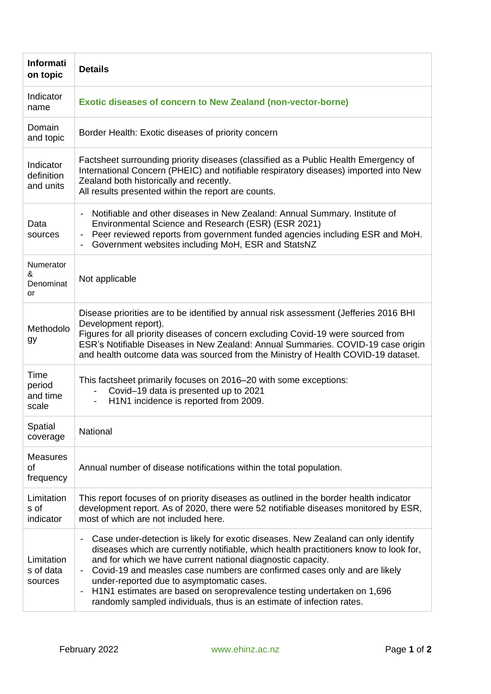| <b>Informati</b><br>on topic         | <b>Details</b>                                                                                                                                                                                                                                                                                                                                                                                                                                                                                                                                                                                                 |
|--------------------------------------|----------------------------------------------------------------------------------------------------------------------------------------------------------------------------------------------------------------------------------------------------------------------------------------------------------------------------------------------------------------------------------------------------------------------------------------------------------------------------------------------------------------------------------------------------------------------------------------------------------------|
| Indicator<br>name                    | <b>Exotic diseases of concern to New Zealand (non-vector-borne)</b>                                                                                                                                                                                                                                                                                                                                                                                                                                                                                                                                            |
| Domain<br>and topic                  | Border Health: Exotic diseases of priority concern                                                                                                                                                                                                                                                                                                                                                                                                                                                                                                                                                             |
| Indicator<br>definition<br>and units | Factsheet surrounding priority diseases (classified as a Public Health Emergency of<br>International Concern (PHEIC) and notifiable respiratory diseases) imported into New<br>Zealand both historically and recently.<br>All results presented within the report are counts.                                                                                                                                                                                                                                                                                                                                  |
| Data<br>sources                      | Notifiable and other diseases in New Zealand: Annual Summary. Institute of<br>$\overline{\phantom{a}}$<br>Environmental Science and Research (ESR) (ESR 2021)<br>- Peer reviewed reports from government funded agencies including ESR and MoH.<br>Government websites including MoH, ESR and StatsNZ                                                                                                                                                                                                                                                                                                          |
| Numerator<br>&<br>Denominat<br>or    | Not applicable                                                                                                                                                                                                                                                                                                                                                                                                                                                                                                                                                                                                 |
| Methodolo<br>gу                      | Disease priorities are to be identified by annual risk assessment (Jefferies 2016 BHI<br>Development report).<br>Figures for all priority diseases of concern excluding Covid-19 were sourced from<br>ESR's Notifiable Diseases in New Zealand: Annual Summaries. COVID-19 case origin<br>and health outcome data was sourced from the Ministry of Health COVID-19 dataset.                                                                                                                                                                                                                                    |
| Time<br>period<br>and time<br>scale  | This factsheet primarily focuses on 2016–20 with some exceptions:<br>Covid-19 data is presented up to 2021<br>H1N1 incidence is reported from 2009.                                                                                                                                                                                                                                                                                                                                                                                                                                                            |
| Spatial<br>coverage                  | National                                                                                                                                                                                                                                                                                                                                                                                                                                                                                                                                                                                                       |
| <b>Measures</b><br>0f<br>frequency   | Annual number of disease notifications within the total population.                                                                                                                                                                                                                                                                                                                                                                                                                                                                                                                                            |
| Limitation<br>s of<br>indicator      | This report focuses of on priority diseases as outlined in the border health indicator<br>development report. As of 2020, there were 52 notifiable diseases monitored by ESR,<br>most of which are not included here.                                                                                                                                                                                                                                                                                                                                                                                          |
| Limitation<br>s of data<br>sources   | Case under-detection is likely for exotic diseases. New Zealand can only identify<br>$\qquad \qquad \blacksquare$<br>diseases which are currently notifiable, which health practitioners know to look for,<br>and for which we have current national diagnostic capacity.<br>Covid-19 and measles case numbers are confirmed cases only and are likely<br>$\overline{\phantom{a}}$<br>under-reported due to asymptomatic cases.<br>H1N1 estimates are based on seroprevalence testing undertaken on 1,696<br>$\overline{\phantom{a}}$<br>randomly sampled individuals, thus is an estimate of infection rates. |